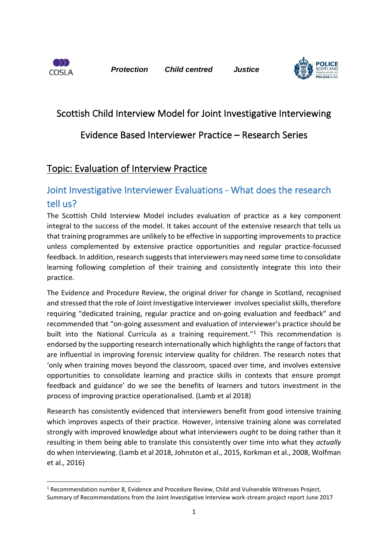

*Protection Child centred Justice*



# Scottish Child Interview Model for Joint Investigative Interviewing

### Evidence Based Interviewer Practice – Research Series

### Topic: Evaluation of Interview Practice

## Joint Investigative Interviewer Evaluations - What does the research tell us?

The Scottish Child Interview Model includes evaluation of practice as a key component integral to the success of the model. It takes account of the extensive research that tells us that training programmes are unlikely to be effective in supporting improvements to practice unless complemented by extensive practice opportunities and regular practice-focussed feedback. In addition, research suggests that interviewers may need some time to consolidate learning following completion of their training and consistently integrate this into their practice.

The Evidence and Procedure Review, the original driver for change in Scotland, recognised and stressed that the role of Joint Investigative Interviewer involves specialist skills, therefore requiring "dedicated training, regular practice and on-going evaluation and feedback" and recommended that "on-going assessment and evaluation of interviewer's practice should be built into the National Curricula as a training requirement."<sup>1</sup> This recommendation is endorsed by the supporting research internationally which highlights the range of factors that are influential in improving forensic interview quality for children. The research notes that 'only when training moves beyond the classroom, spaced over time, and involves extensive opportunities to consolidate learning and practice skills in contexts that ensure prompt feedback and guidance' do we see the benefits of learners and tutors investment in the process of improving practice operationalised. (Lamb et al 2018)

Research has consistently evidenced that interviewers benefit from good intensive training which improves aspects of their practice. However, intensive training alone was correlated strongly with improved knowledge about what interviewers *ought* to be doing rather than it resulting in them being able to translate this consistently over time into what they *actually* do when interviewing. (Lamb et al 2018, Johnston et al., 2015, Korkman et al., 2008, Wolfman et al., 2016)

<sup>&</sup>lt;sup>1</sup> Recommendation number 8, Evidence and Procedure Review, Child and Vulnerable Witnesses Project, Summary of Recommendations from the Joint Investigative Interview work-stream project report June 2017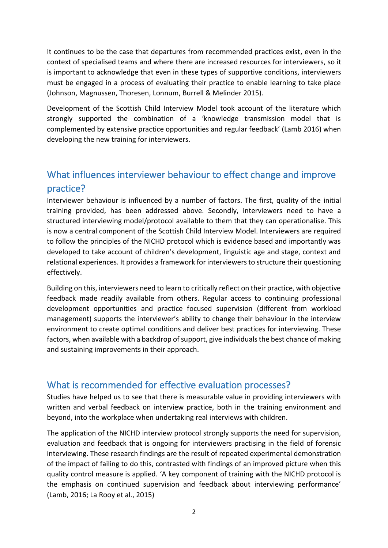It continues to be the case that departures from recommended practices exist, even in the context of specialised teams and where there are increased resources for interviewers, so it is important to acknowledge that even in these types of supportive conditions, interviewers must be engaged in a process of evaluating their practice to enable learning to take place (Johnson, Magnussen, Thoresen, Lonnum, Burrell & Melinder 2015).

Development of the Scottish Child Interview Model took account of the literature which strongly supported the combination of a 'knowledge transmission model that is complemented by extensive practice opportunities and regular feedback' (Lamb 2016) when developing the new training for interviewers.

# What influences interviewer behaviour to effect change and improve practice?

Interviewer behaviour is influenced by a number of factors. The first, quality of the initial training provided, has been addressed above. Secondly, interviewers need to have a structured interviewing model/protocol available to them that they can operationalise. This is now a central component of the Scottish Child Interview Model. Interviewers are required to follow the principles of the NICHD protocol which is evidence based and importantly was developed to take account of children's development, linguistic age and stage, context and relational experiences. It provides a framework for interviewers to structure their questioning effectively.

Building on this, interviewers need to learn to critically reflect on their practice, with objective feedback made readily available from others. Regular access to continuing professional development opportunities and practice focused supervision (different from workload management) supports the interviewer's ability to change their behaviour in the interview environment to create optimal conditions and deliver best practices for interviewing. These factors, when available with a backdrop of support, give individuals the best chance of making and sustaining improvements in their approach.

### What is recommended for effective evaluation processes?

Studies have helped us to see that there is measurable value in providing interviewers with written and verbal feedback on interview practice, both in the training environment and beyond, into the workplace when undertaking real interviews with children.

The application of the NICHD interview protocol strongly supports the need for supervision, evaluation and feedback that is ongoing for interviewers practising in the field of forensic interviewing. These research findings are the result of repeated experimental demonstration of the impact of failing to do this, contrasted with findings of an improved picture when this quality control measure is applied. 'A key component of training with the NICHD protocol is the emphasis on continued supervision and feedback about interviewing performance' (Lamb, 2016; La Rooy et al., 2015)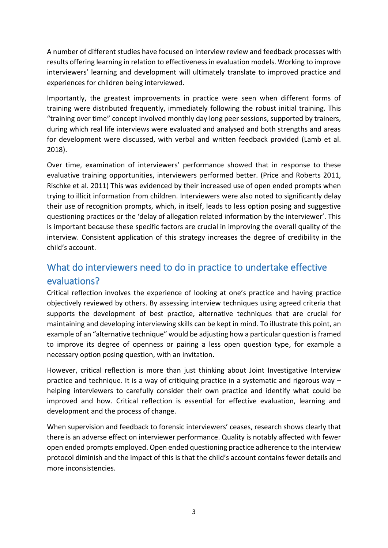A number of different studies have focused on interview review and feedback processes with results offering learning in relation to effectiveness in evaluation models. Working to improve interviewers' learning and development will ultimately translate to improved practice and experiences for children being interviewed.

Importantly, the greatest improvements in practice were seen when different forms of training were distributed frequently, immediately following the robust initial training. This "training over time" concept involved monthly day long peer sessions, supported by trainers, during which real life interviews were evaluated and analysed and both strengths and areas for development were discussed, with verbal and written feedback provided (Lamb et al. 2018).

Over time, examination of interviewers' performance showed that in response to these evaluative training opportunities, interviewers performed better. (Price and Roberts 2011, Rischke et al. 2011) This was evidenced by their increased use of open ended prompts when trying to illicit information from children. Interviewers were also noted to significantly delay their use of recognition prompts, which, in itself, leads to less option posing and suggestive questioning practices or the 'delay of allegation related information by the interviewer'. This is important because these specific factors are crucial in improving the overall quality of the interview. Consistent application of this strategy increases the degree of credibility in the child's account.

# What do interviewers need to do in practice to undertake effective evaluations?

Critical reflection involves the experience of looking at one's practice and having practice objectively reviewed by others. By assessing interview techniques using agreed criteria that supports the development of best practice, alternative techniques that are crucial for maintaining and developing interviewing skills can be kept in mind. To illustrate this point, an example of an "alternative technique" would be adjusting how a particular question is framed to improve its degree of openness or pairing a less open question type, for example a necessary option posing question, with an invitation.

However, critical reflection is more than just thinking about Joint Investigative Interview practice and technique. It is a way of critiquing practice in a systematic and rigorous way – helping interviewers to carefully consider their own practice and identify what could be improved and how. Critical reflection is essential for effective evaluation, learning and development and the process of change.

When supervision and feedback to forensic interviewers' ceases, research shows clearly that there is an adverse effect on interviewer performance. Quality is notably affected with fewer open ended prompts employed. Open ended questioning practice adherence to the interview protocol diminish and the impact of this is that the child's account contains fewer details and more inconsistencies.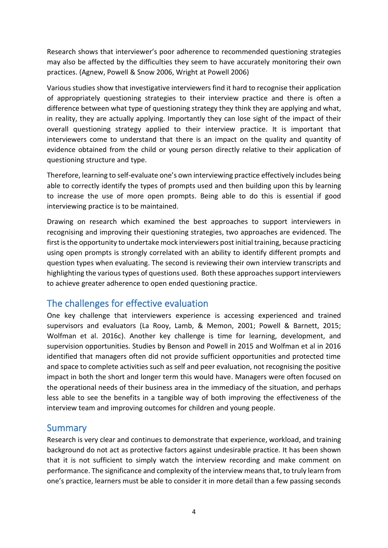Research shows that interviewer's poor adherence to recommended questioning strategies may also be affected by the difficulties they seem to have accurately monitoring their own practices. (Agnew, Powell & Snow 2006, Wright at Powell 2006)

Various studies show that investigative interviewers find it hard to recognise their application of appropriately questioning strategies to their interview practice and there is often a difference between what type of questioning strategy they think they are applying and what, in reality, they are actually applying. Importantly they can lose sight of the impact of their overall questioning strategy applied to their interview practice. It is important that interviewers come to understand that there is an impact on the quality and quantity of evidence obtained from the child or young person directly relative to their application of questioning structure and type.

Therefore, learning to self-evaluate one's own interviewing practice effectively includes being able to correctly identify the types of prompts used and then building upon this by learning to increase the use of more open prompts. Being able to do this is essential if good interviewing practice is to be maintained.

Drawing on research which examined the best approaches to support interviewers in recognising and improving their questioning strategies, two approaches are evidenced. The first is the opportunity to undertake mock interviewers post initial training, because practicing using open prompts is strongly correlated with an ability to identify different prompts and question types when evaluating. The second is reviewing their own interview transcripts and highlighting the various types of questions used. Both these approaches support interviewers to achieve greater adherence to open ended questioning practice.

### The challenges for effective evaluation

One key challenge that interviewers experience is accessing experienced and trained supervisors and evaluators (La Rooy, Lamb, & Memon, 2001; Powell & Barnett, 2015; Wolfman et al. 2016c). Another key challenge is time for learning, development, and supervision opportunities. Studies by Benson and Powell in 2015 and Wolfman et al in 2016 identified that managers often did not provide sufficient opportunities and protected time and space to complete activities such as self and peer evaluation, not recognising the positive impact in both the short and longer term this would have. Managers were often focused on the operational needs of their business area in the immediacy of the situation, and perhaps less able to see the benefits in a tangible way of both improving the effectiveness of the interview team and improving outcomes for children and young people.

#### Summary

Research is very clear and continues to demonstrate that experience, workload, and training background do not act as protective factors against undesirable practice. It has been shown that it is not sufficient to simply watch the interview recording and make comment on performance. The significance and complexity of the interview means that, to truly learn from one's practice, learners must be able to consider it in more detail than a few passing seconds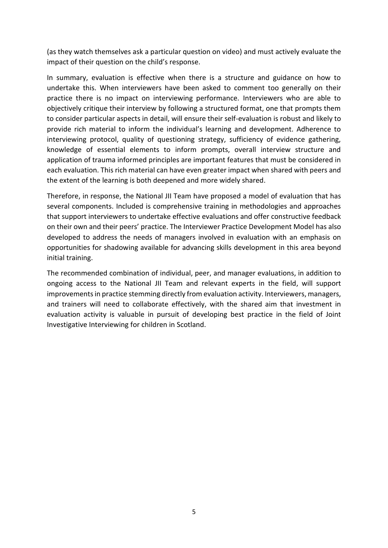(as they watch themselves ask a particular question on video) and must actively evaluate the impact of their question on the child's response.

In summary, evaluation is effective when there is a structure and guidance on how to undertake this. When interviewers have been asked to comment too generally on their practice there is no impact on interviewing performance. Interviewers who are able to objectively critique their interview by following a structured format, one that prompts them to consider particular aspects in detail, will ensure their self-evaluation is robust and likely to provide rich material to inform the individual's learning and development. Adherence to interviewing protocol, quality of questioning strategy, sufficiency of evidence gathering, knowledge of essential elements to inform prompts, overall interview structure and application of trauma informed principles are important features that must be considered in each evaluation. This rich material can have even greater impact when shared with peers and the extent of the learning is both deepened and more widely shared.

Therefore, in response, the National JII Team have proposed a model of evaluation that has several components. Included is comprehensive training in methodologies and approaches that support interviewers to undertake effective evaluations and offer constructive feedback on their own and their peers' practice. The Interviewer Practice Development Model has also developed to address the needs of managers involved in evaluation with an emphasis on opportunities for shadowing available for advancing skills development in this area beyond initial training.

The recommended combination of individual, peer, and manager evaluations, in addition to ongoing access to the National JII Team and relevant experts in the field, will support improvements in practice stemming directly from evaluation activity. Interviewers, managers, and trainers will need to collaborate effectively, with the shared aim that investment in evaluation activity is valuable in pursuit of developing best practice in the field of Joint Investigative Interviewing for children in Scotland.